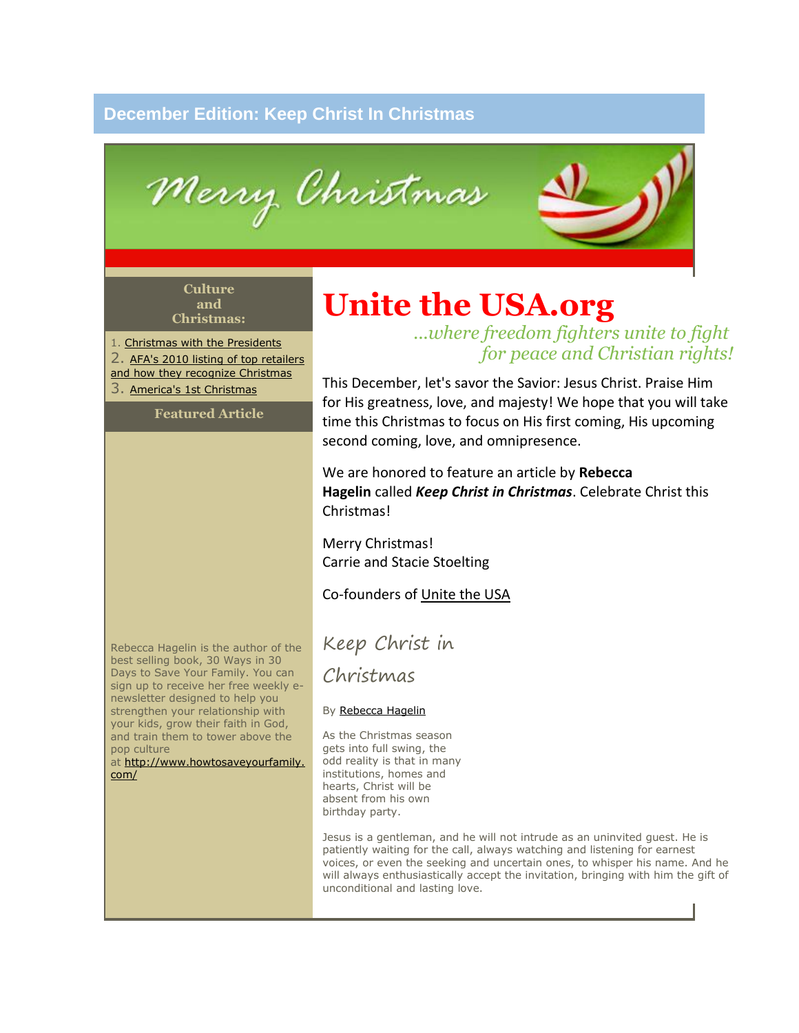## **December Edition: Keep Christ In Christmas**

Merry Christmas

#### **Culture and Christmas:**

1. [Christmas with the Presidents](http://wallbuilders.com/LIBissuesArticles.asp?id=19192) 2. AFA's 2010 listing of top retailers [and how they recognize Christmas](http://action.afa.net/Detail.aspx?id=2147486887) 3. [America's 1st Christmas](http://www.glennbeck.com/content/events/?ibid=wilmington)

## **Featured Article**

# **Unite the USA.org**

*...where freedom fighters unite to fight for peace and Christian rights!*

This December, let's savor the Savior: Jesus Christ. Praise Him for His greatness, love, and majesty! We hope that you will take time this Christmas to focus on His first coming, His upcoming second coming, love, and omnipresence.

We are honored to feature an article by **Rebecca Hagelin** called *Keep Christ in Christmas*. Celebrate Christ this Christmas!

Merry Christmas! Carrie and Stacie Stoelting

## Co-founders of [Unite the USA](http://unitetheusa.org/index.html)

Keep Christ in

Christmas

## By [Rebecca Hagelin](http://www.howtosaveyourfamily.com/)

As the Christmas season gets into full swing, the odd reality is that in many institutions, homes and hearts, Christ will be absent from his own birthday party.

Jesus is a gentleman, and he will not intrude as an uninvited guest. He is patiently waiting for the call, always watching and listening for earnest voices, or even the seeking and uncertain ones, to whisper his name. And he will always enthusiastically accept the invitation, bringing with him the gift of unconditional and lasting love.

Rebecca Hagelin is the author of the best selling book, 30 Ways in 30 Days to Save Your Family. You can sign up to receive her free weekly enewsletter designed to help you strengthen your relationship with your kids, grow their faith in God, and train them to tower above the pop culture

at [http://www.howtosaveyourfamily.](http://www.howtosaveyourfamily.com/) [com/](http://www.howtosaveyourfamily.com/)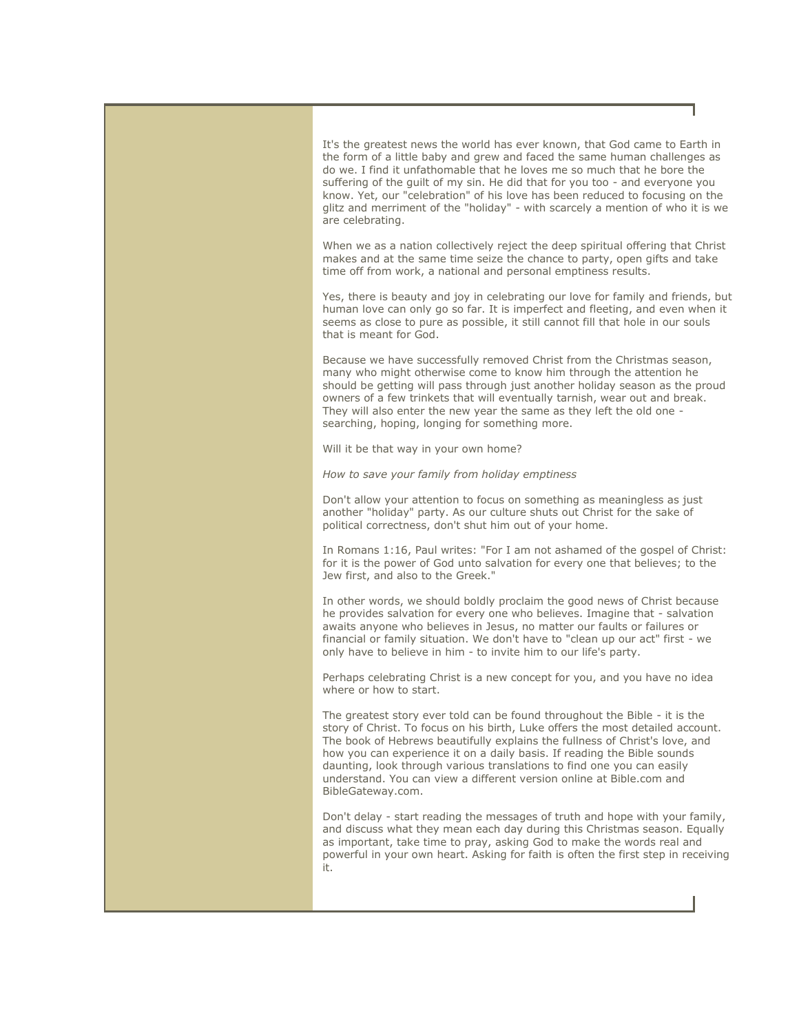It's the greatest news the world has ever known, that God came to Earth in the form of a little baby and grew and faced the same human challenges as do we. I find it unfathomable that he loves me so much that he bore the suffering of the guilt of my sin. He did that for you too - and everyone you know. Yet, our "celebration" of his love has been reduced to focusing on the glitz and merriment of the "holiday" - with scarcely a mention of who it is we are celebrating.

When we as a nation collectively reject the deep spiritual offering that Christ makes and at the same time seize the chance to party, open gifts and take time off from work, a national and personal emptiness results.

Yes, there is beauty and joy in celebrating our love for family and friends, but human love can only go so far. It is imperfect and fleeting, and even when it seems as close to pure as possible, it still cannot fill that hole in our souls that is meant for God.

Because we have successfully removed Christ from the Christmas season, many who might otherwise come to know him through the attention he should be getting will pass through just another holiday season as the proud owners of a few trinkets that will eventually tarnish, wear out and break. They will also enter the new year the same as they left the old one searching, hoping, longing for something more.

Will it be that way in your own home?

*How to save your family from holiday emptiness*

Don't allow your attention to focus on something as meaningless as just another "holiday" party. As our culture shuts out Christ for the sake of political correctness, don't shut him out of your home.

In Romans 1:16, Paul writes: "For I am not ashamed of the gospel of Christ: for it is the power of God unto salvation for every one that believes; to the Jew first, and also to the Greek."

In other words, we should boldly proclaim the good news of Christ because he provides salvation for every one who believes. Imagine that - salvation awaits anyone who believes in Jesus, no matter our faults or failures or financial or family situation. We don't have to "clean up our act" first - we only have to believe in him - to invite him to our life's party.

Perhaps celebrating Christ is a new concept for you, and you have no idea where or how to start.

The greatest story ever told can be found throughout the Bible - it is the story of Christ. To focus on his birth, Luke offers the most detailed account. The book of Hebrews beautifully explains the fullness of Christ's love, and how you can experience it on a daily basis. If reading the Bible sounds daunting, look through various translations to find one you can easily understand. You can view a different version online at Bible.com and BibleGateway.com.

Don't delay - start reading the messages of truth and hope with your family, and discuss what they mean each day during this Christmas season. Equally as important, take time to pray, asking God to make the words real and powerful in your own heart. Asking for faith is often the first step in receiving it.